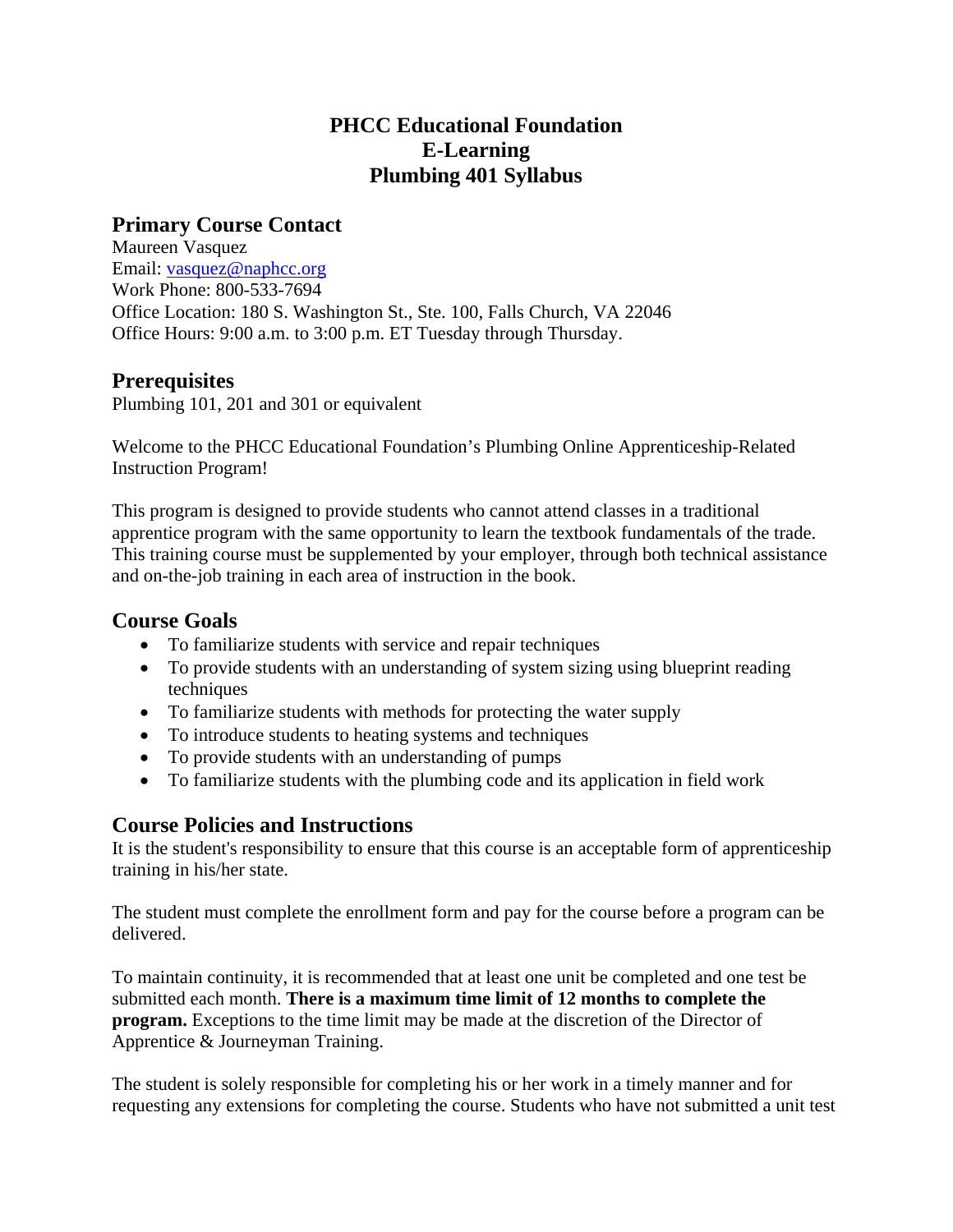# **PHCC Educational Foundation E-Learning Plumbing 401 Syllabus**

# **Primary Course Contact**

Maureen Vasquez Email: vasquez@naphcc.org Work Phone: 800-533-7694 Office Location: 180 S. Washington St., Ste. 100, Falls Church, VA 22046 Office Hours: 9:00 a.m. to 3:00 p.m. ET Tuesday through Thursday.

## **Prerequisites**

Plumbing 101, 201 and 301 or equivalent

Welcome to the PHCC Educational Foundation's Plumbing Online Apprenticeship-Related Instruction Program!

This program is designed to provide students who cannot attend classes in a traditional apprentice program with the same opportunity to learn the textbook fundamentals of the trade. This training course must be supplemented by your employer, through both technical assistance and on-the-job training in each area of instruction in the book.

## **Course Goals**

- To familiarize students with service and repair techniques
- To provide students with an understanding of system sizing using blueprint reading techniques
- To familiarize students with methods for protecting the water supply
- To introduce students to heating systems and techniques
- To provide students with an understanding of pumps
- To familiarize students with the plumbing code and its application in field work

## **Course Policies and Instructions**

It is the student's responsibility to ensure that this course is an acceptable form of apprenticeship training in his/her state.

The student must complete the enrollment form and pay for the course before a program can be delivered.

To maintain continuity, it is recommended that at least one unit be completed and one test be submitted each month. **There is a maximum time limit of 12 months to complete the program.** Exceptions to the time limit may be made at the discretion of the Director of Apprentice & Journeyman Training.

The student is solely responsible for completing his or her work in a timely manner and for requesting any extensions for completing the course. Students who have not submitted a unit test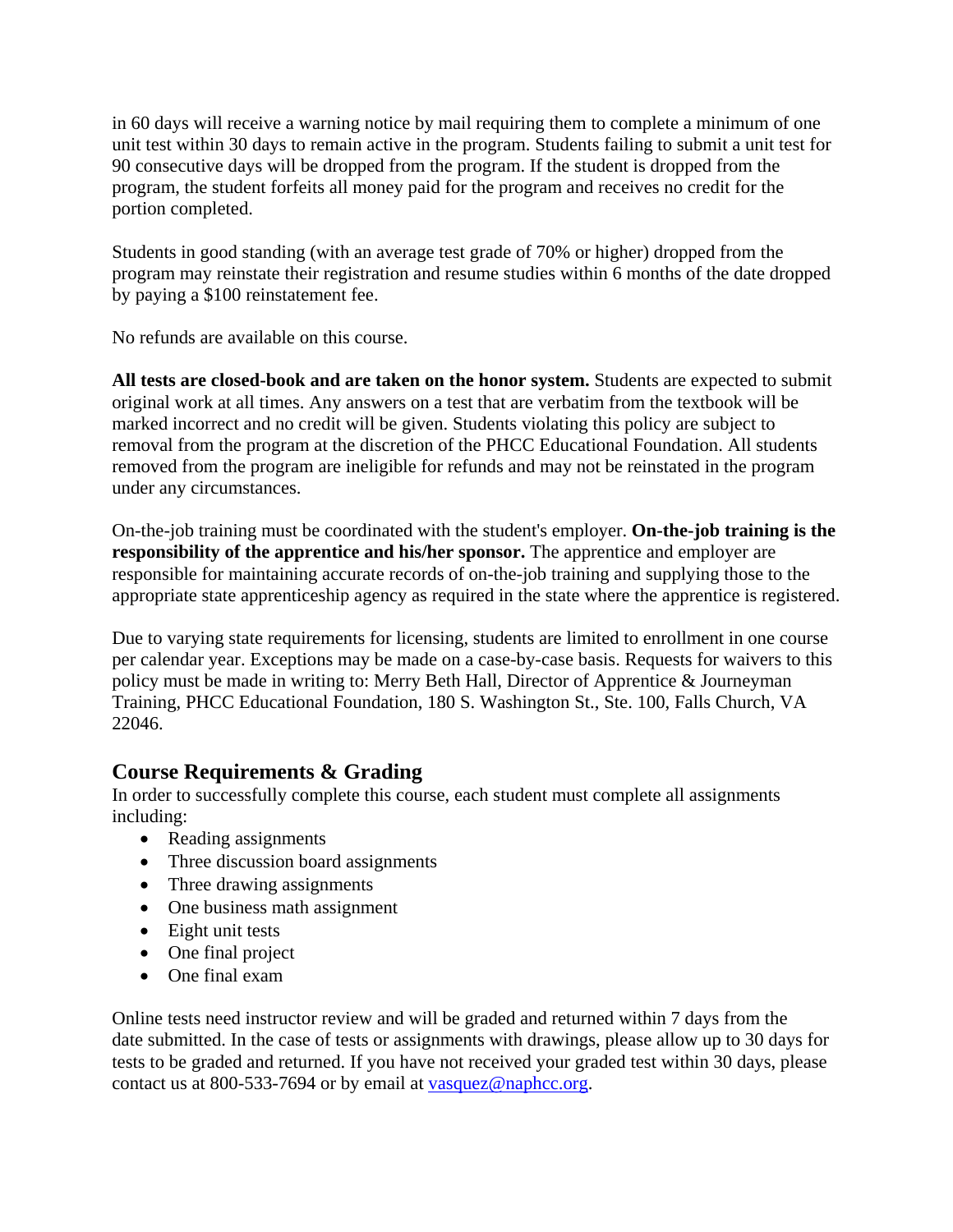in 60 days will receive a warning notice by mail requiring them to complete a minimum of one unit test within 30 days to remain active in the program. Students failing to submit a unit test for 90 consecutive days will be dropped from the program. If the student is dropped from the program, the student forfeits all money paid for the program and receives no credit for the portion completed.

Students in good standing (with an average test grade of 70% or higher) dropped from the program may reinstate their registration and resume studies within 6 months of the date dropped by paying a \$100 reinstatement fee.

No refunds are available on this course.

**All tests are closed-book and are taken on the honor system.** Students are expected to submit original work at all times. Any answers on a test that are verbatim from the textbook will be marked incorrect and no credit will be given. Students violating this policy are subject to removal from the program at the discretion of the PHCC Educational Foundation. All students removed from the program are ineligible for refunds and may not be reinstated in the program under any circumstances.

On-the-job training must be coordinated with the student's employer. **On-the-job training is the responsibility of the apprentice and his/her sponsor.** The apprentice and employer are responsible for maintaining accurate records of on-the-job training and supplying those to the appropriate state apprenticeship agency as required in the state where the apprentice is registered.

Due to varying state requirements for licensing, students are limited to enrollment in one course per calendar year. Exceptions may be made on a case-by-case basis. Requests for waivers to this policy must be made in writing to: Merry Beth Hall, Director of Apprentice & Journeyman Training, PHCC Educational Foundation, 180 S. Washington St., Ste. 100, Falls Church, VA 22046.

# **Course Requirements & Grading**

In order to successfully complete this course, each student must complete all assignments including:

- Reading assignments
- Three discussion board assignments
- Three drawing assignments
- One business math assignment
- Eight unit tests
- One final project
- One final exam

Online tests need instructor review and will be graded and returned within 7 days from the date submitted. In the case of tests or assignments with drawings, please allow up to 30 days for tests to be graded and returned. If you have not received your graded test within 30 days, please contact us at 800-533-7694 or by email at vasquez@naphcc.org.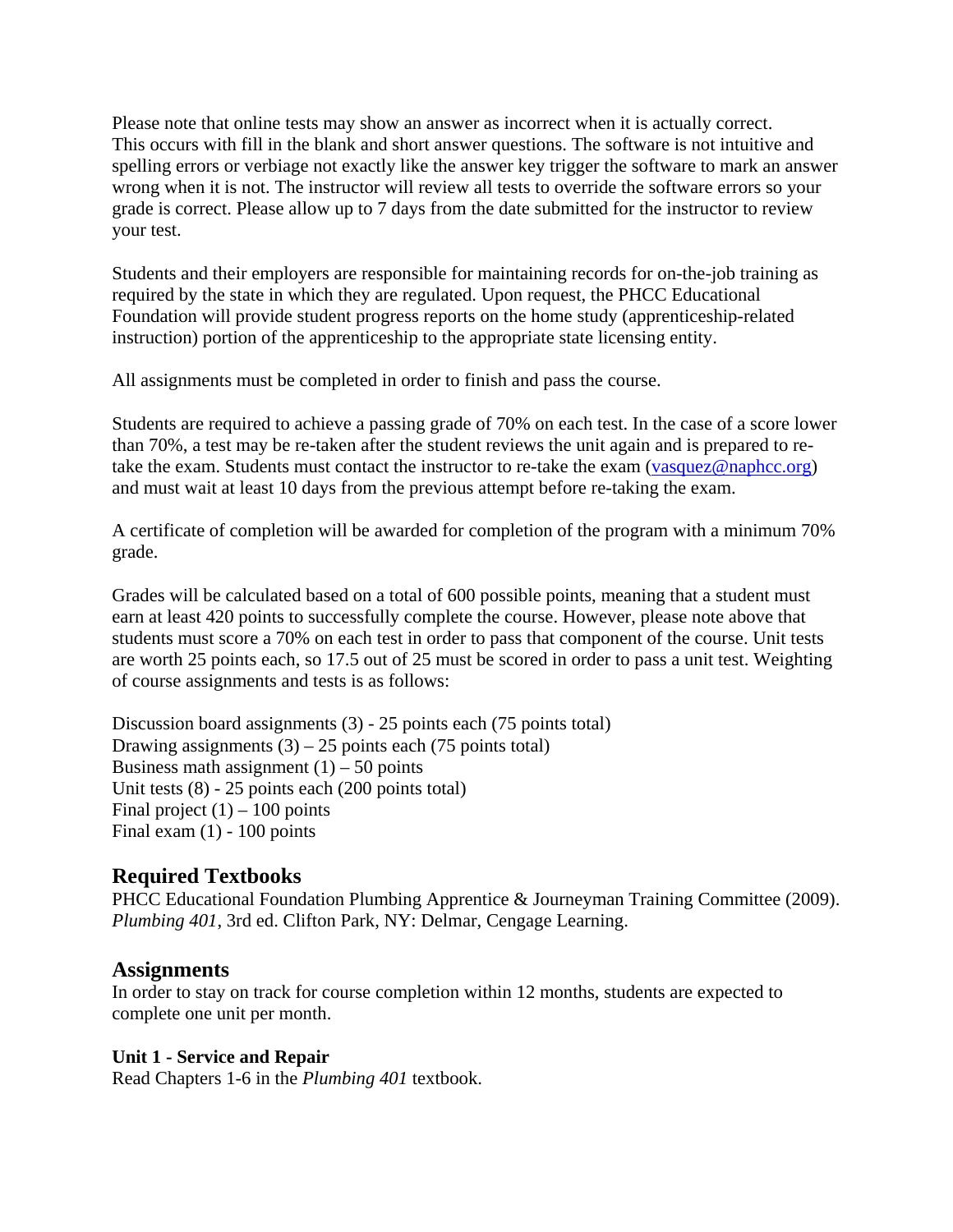Please note that online tests may show an answer as incorrect when it is actually correct. This occurs with fill in the blank and short answer questions. The software is not intuitive and spelling errors or verbiage not exactly like the answer key trigger the software to mark an answer wrong when it is not. The instructor will review all tests to override the software errors so your grade is correct. Please allow up to 7 days from the date submitted for the instructor to review your test.

Students and their employers are responsible for maintaining records for on-the-job training as required by the state in which they are regulated. Upon request, the PHCC Educational Foundation will provide student progress reports on the home study (apprenticeship-related instruction) portion of the apprenticeship to the appropriate state licensing entity.

All assignments must be completed in order to finish and pass the course.

Students are required to achieve a passing grade of 70% on each test. In the case of a score lower than 70%, a test may be re-taken after the student reviews the unit again and is prepared to retake the exam. Students must contact the instructor to re-take the exam (vasquez@naphcc.org) and must wait at least 10 days from the previous attempt before re-taking the exam.

A certificate of completion will be awarded for completion of the program with a minimum 70% grade.

Grades will be calculated based on a total of 600 possible points, meaning that a student must earn at least 420 points to successfully complete the course. However, please note above that students must score a 70% on each test in order to pass that component of the course. Unit tests are worth 25 points each, so 17.5 out of 25 must be scored in order to pass a unit test. Weighting of course assignments and tests is as follows:

Discussion board assignments (3) - 25 points each (75 points total) Drawing assignments  $(3) - 25$  points each  $(75$  points total) Business math assignment  $(1)$  – 50 points Unit tests (8) - 25 points each (200 points total) Final project  $(1)$  – 100 points Final exam  $(1)$  - 100 points

# **Required Textbooks**

PHCC Educational Foundation Plumbing Apprentice & Journeyman Training Committee (2009). *Plumbing 401*, 3rd ed. Clifton Park, NY: Delmar, Cengage Learning.

## **Assignments**

In order to stay on track for course completion within 12 months, students are expected to complete one unit per month.

## **Unit 1 - Service and Repair**

Read Chapters 1-6 in the *Plumbing 401* textbook.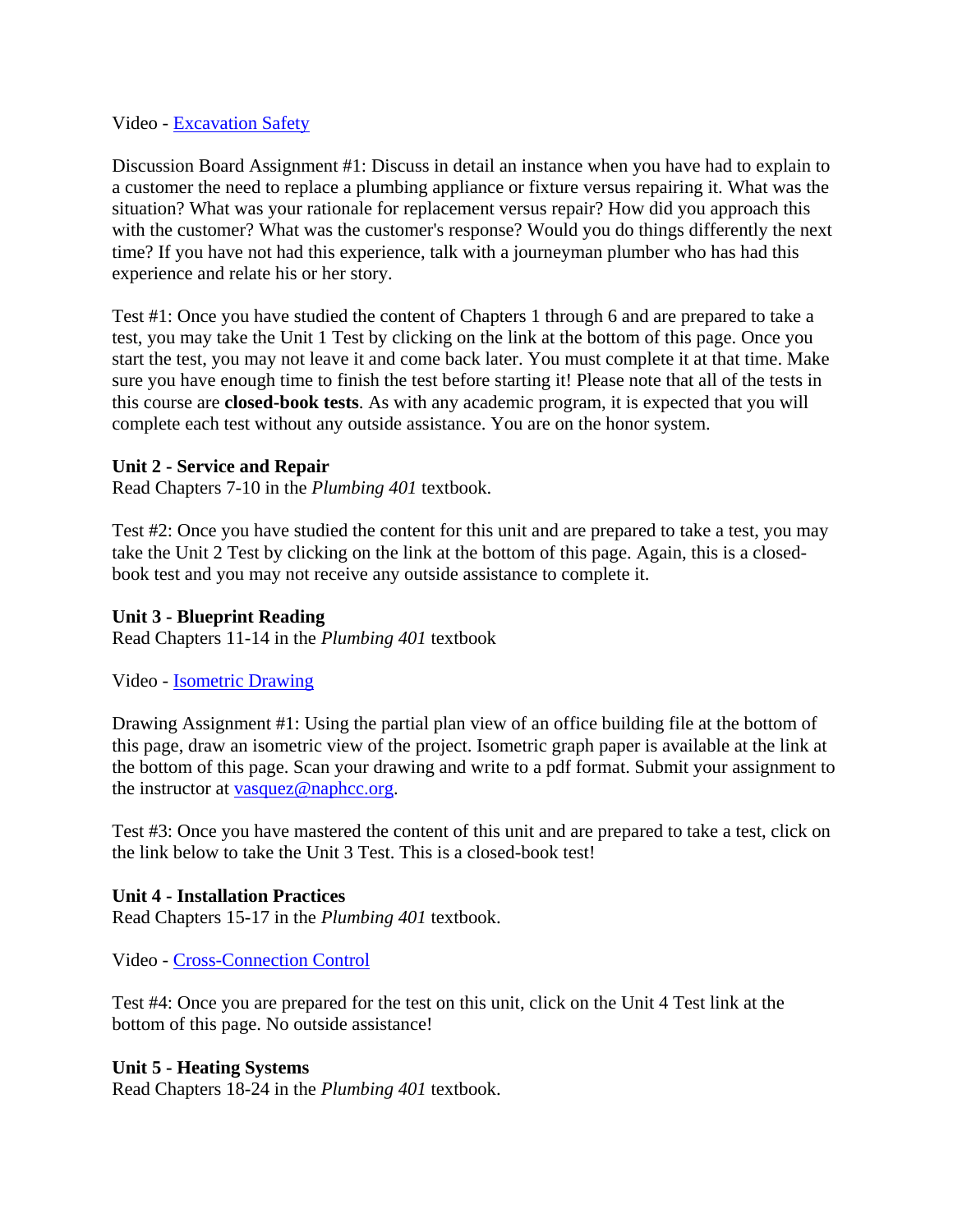#### Video - Excavation Safety

Discussion Board Assignment #1: Discuss in detail an instance when you have had to explain to a customer the need to replace a plumbing appliance or fixture versus repairing it. What was the situation? What was your rationale for replacement versus repair? How did you approach this with the customer? What was the customer's response? Would you do things differently the next time? If you have not had this experience, talk with a journeyman plumber who has had this experience and relate his or her story.

Test #1: Once you have studied the content of Chapters 1 through 6 and are prepared to take a test, you may take the Unit 1 Test by clicking on the link at the bottom of this page. Once you start the test, you may not leave it and come back later. You must complete it at that time. Make sure you have enough time to finish the test before starting it! Please note that all of the tests in this course are **closed-book tests**. As with any academic program, it is expected that you will complete each test without any outside assistance. You are on the honor system.

### **Unit 2 - Service and Repair**

Read Chapters 7-10 in the *Plumbing 401* textbook.

Test #2: Once you have studied the content for this unit and are prepared to take a test, you may take the Unit 2 Test by clicking on the link at the bottom of this page. Again, this is a closedbook test and you may not receive any outside assistance to complete it.

#### **Unit 3 - Blueprint Reading**

Read Chapters 11-14 in the *Plumbing 401* textbook

Video - Isometric Drawing

Drawing Assignment #1: Using the partial plan view of an office building file at the bottom of this page, draw an isometric view of the project. Isometric graph paper is available at the link at the bottom of this page. Scan your drawing and write to a pdf format. Submit your assignment to the instructor at  $vasquez@naphcc.org$ .</u>

Test #3: Once you have mastered the content of this unit and are prepared to take a test, click on the link below to take the Unit 3 Test. This is a closed-book test!

#### **Unit 4 - Installation Practices**

Read Chapters 15-17 in the *Plumbing 401* textbook.

Video - Cross-Connection Control

Test #4: Once you are prepared for the test on this unit, click on the Unit 4 Test link at the bottom of this page. No outside assistance!

#### **Unit 5 - Heating Systems**

Read Chapters 18-24 in the *Plumbing 401* textbook.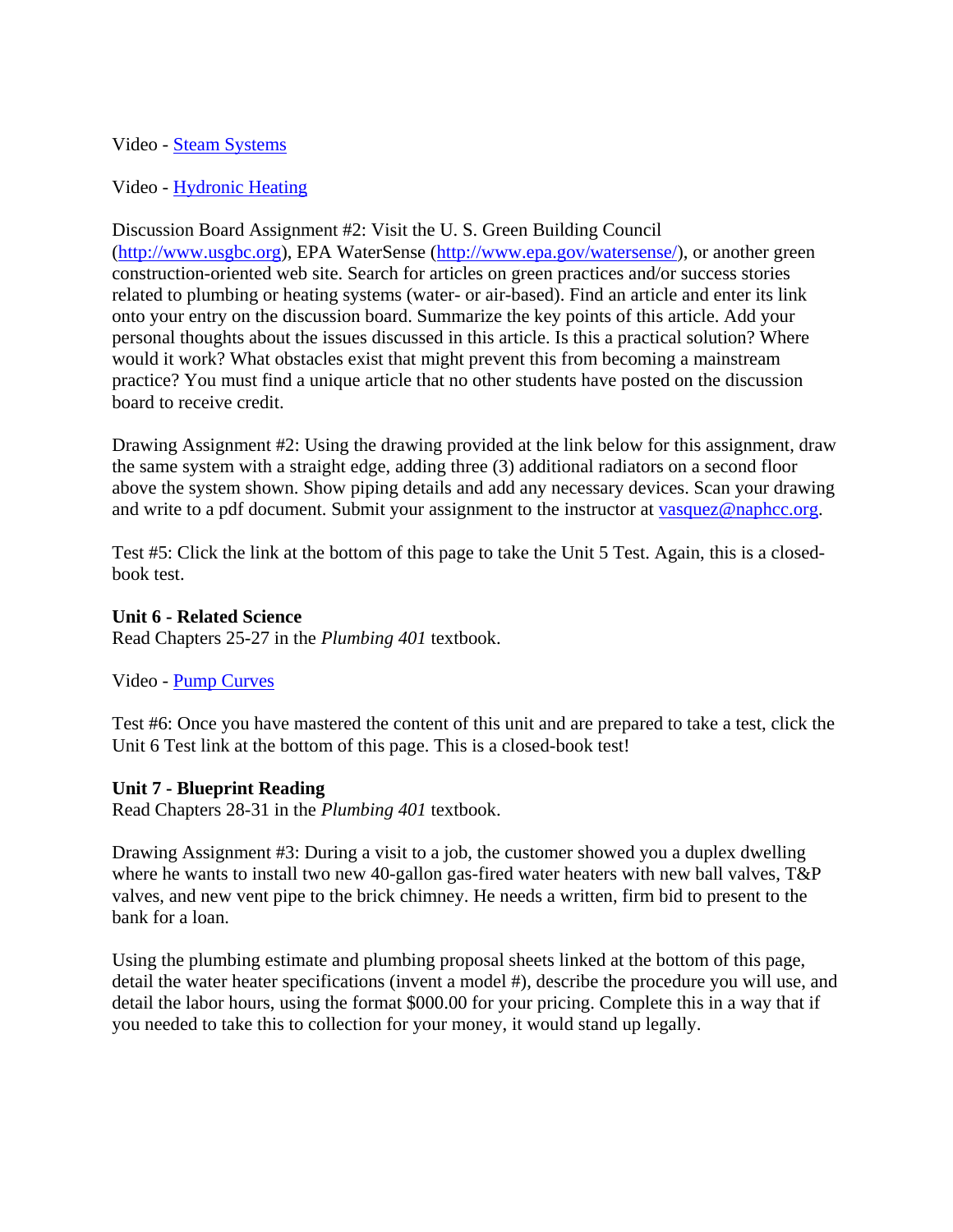#### Video - Steam Systems

#### Video - Hydronic Heating

Discussion Board Assignment #2: Visit the U. S. Green Building Council (http://www.usgbc.org), EPA WaterSense (http://www.epa.gov/watersense/), or another green construction-oriented web site. Search for articles on green practices and/or success stories related to plumbing or heating systems (water- or air-based). Find an article and enter its link onto your entry on the discussion board. Summarize the key points of this article. Add your personal thoughts about the issues discussed in this article. Is this a practical solution? Where would it work? What obstacles exist that might prevent this from becoming a mainstream practice? You must find a unique article that no other students have posted on the discussion board to receive credit.

Drawing Assignment #2: Using the drawing provided at the link below for this assignment, draw the same system with a straight edge, adding three (3) additional radiators on a second floor above the system shown. Show piping details and add any necessary devices. Scan your drawing and write to a pdf document. Submit your assignment to the instructor at vasquez@naphcc.org.

Test #5: Click the link at the bottom of this page to take the Unit 5 Test. Again, this is a closedbook test.

#### **Unit 6 - Related Science**

Read Chapters 25-27 in the *Plumbing 401* textbook.

Video - Pump Curves

Test #6: Once you have mastered the content of this unit and are prepared to take a test, click the Unit 6 Test link at the bottom of this page. This is a closed-book test!

#### **Unit 7 - Blueprint Reading**

Read Chapters 28-31 in the *Plumbing 401* textbook.

Drawing Assignment #3: During a visit to a job, the customer showed you a duplex dwelling where he wants to install two new 40-gallon gas-fired water heaters with new ball valves, T&P valves, and new vent pipe to the brick chimney. He needs a written, firm bid to present to the bank for a loan.

Using the plumbing estimate and plumbing proposal sheets linked at the bottom of this page, detail the water heater specifications (invent a model #), describe the procedure you will use, and detail the labor hours, using the format \$000.00 for your pricing. Complete this in a way that if you needed to take this to collection for your money, it would stand up legally.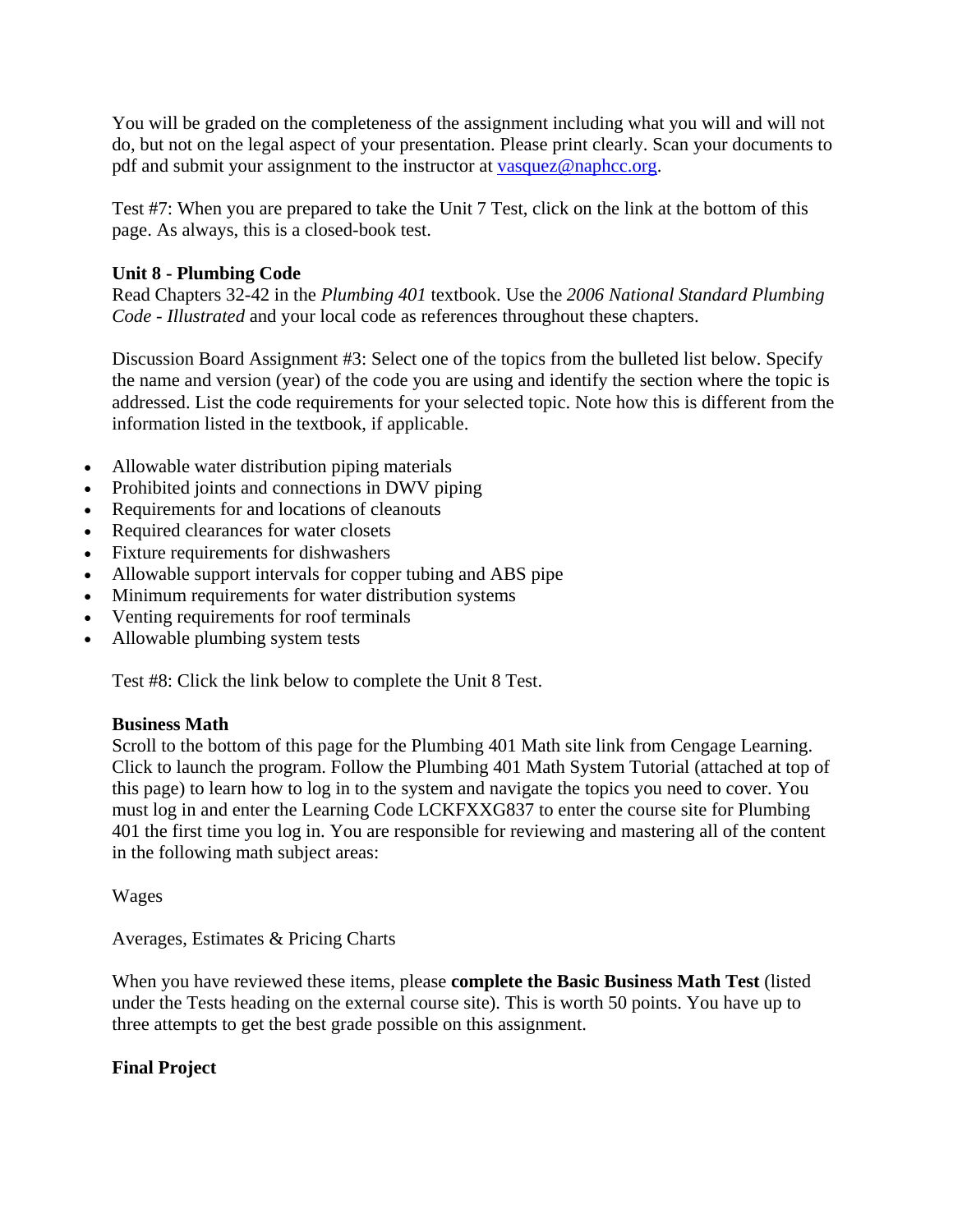You will be graded on the completeness of the assignment including what you will and will not do, but not on the legal aspect of your presentation. Please print clearly. Scan your documents to pdf and submit your assignment to the instructor at vasquez@naphcc.org.

Test #7: When you are prepared to take the Unit 7 Test, click on the link at the bottom of this page. As always, this is a closed-book test.

## **Unit 8 - Plumbing Code**

Read Chapters 32-42 in the *Plumbing 401* textbook. Use the *2006 National Standard Plumbing Code - Illustrated* and your local code as references throughout these chapters.

Discussion Board Assignment #3: Select one of the topics from the bulleted list below. Specify the name and version (year) of the code you are using and identify the section where the topic is addressed. List the code requirements for your selected topic. Note how this is different from the information listed in the textbook, if applicable.

- Allowable water distribution piping materials
- Prohibited joints and connections in DWV piping
- Requirements for and locations of cleanouts
- Required clearances for water closets
- Fixture requirements for dishwashers
- Allowable support intervals for copper tubing and ABS pipe
- Minimum requirements for water distribution systems
- Venting requirements for roof terminals
- Allowable plumbing system tests

Test #8: Click the link below to complete the Unit 8 Test.

## **Business Math**

Scroll to the bottom of this page for the Plumbing 401 Math site link from Cengage Learning. Click to launch the program. Follow the Plumbing 401 Math System Tutorial (attached at top of this page) to learn how to log in to the system and navigate the topics you need to cover. You must log in and enter the Learning Code LCKFXXG837 to enter the course site for Plumbing 401 the first time you log in. You are responsible for reviewing and mastering all of the content in the following math subject areas:

Wages

Averages, Estimates & Pricing Charts

When you have reviewed these items, please **complete the Basic Business Math Test** (listed under the Tests heading on the external course site). This is worth 50 points. You have up to three attempts to get the best grade possible on this assignment.

## **Final Project**